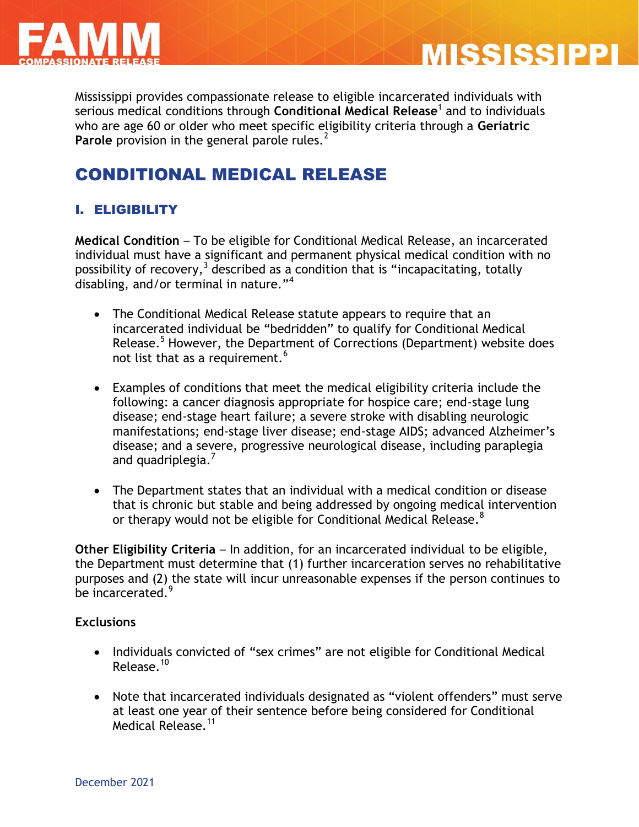



Mississippi provides compassionate release to eligible incarcerated individuals with serious medical conditions through **Conditional Medical Release**<sup>1</sup> and to individuals who are age 60 or older who meet specific eligibility criteria through a **Geriatric Parole** provision in the general parole rules.<sup>2</sup>

# CONDITIONAL MEDICAL RELEASE

## I. ELIGIBILITY

**Medical Condition** – To be eligible for Conditional Medical Release, an incarcerated individual must have a significant and permanent physical medical condition with no possibility of recovery,  $3$  described as a condition that is "incapacitating, totally disabling, and/or terminal in nature."<sup>4</sup>

- The Conditional Medical Release statute appears to require that an incarcerated individual be "bedridden" to qualify for Conditional Medical Release.<sup>5</sup> However, the Department of Corrections (Department) website does not list that as a requirement.<sup>6</sup>
- Examples of conditions that meet the medical eligibility criteria include the following: a cancer diagnosis appropriate for hospice care; end-stage lung disease; end-stage heart failure; a severe stroke with disabling neurologic manifestations; end-stage liver disease; end-stage AIDS; advanced Alzheimer's disease; and a severe, progressive neurological disease, including paraplegia and quadriplegia.<sup>7</sup>
- The Department states that an individual with a medical condition or disease that is chronic but stable and being addressed by ongoing medical intervention or therapy would not be eligible for Conditional Medical Release.<sup>8</sup>

**Other Eligibility Criteria** – In addition, for an incarcerated individual to be eligible, the Department must determine that (1) further incarceration serves no rehabilitative purposes and (2) the state will incur unreasonable expenses if the person continues to be incarcerated.<sup>9</sup>

#### **Exclusions**

- Individuals convicted of "sex crimes" are not eligible for Conditional Medical Release.<sup>10</sup>
- Note that incarcerated individuals designated as "violent offenders" must serve at least one year of their sentence before being considered for Conditional Medical Release.<sup>11</sup>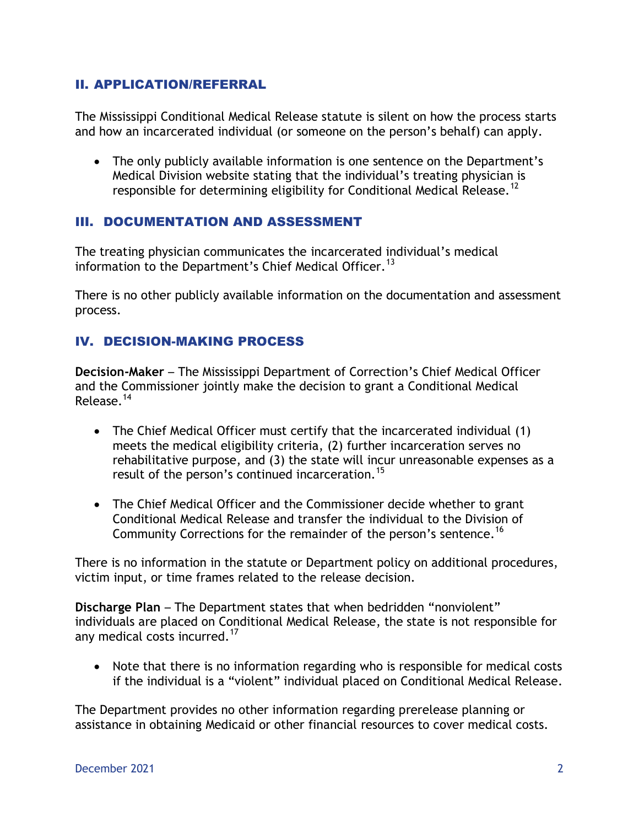#### II. APPLICATION/REFERRAL

The Mississippi Conditional Medical Release statute is silent on how the process starts and how an incarcerated individual (or someone on the person's behalf) can apply.

• The only publicly available information is one sentence on the Department's Medical Division website stating that the individual's treating physician is responsible for determining eligibility for Conditional Medical Release.<sup>12</sup>

#### III. DOCUMENTATION AND ASSESSMENT

The treating physician communicates the incarcerated individual's medical information to the Department's Chief Medical Officer.<sup>13</sup>

There is no other publicly available information on the documentation and assessment process.

## IV. DECISION-MAKING PROCESS

**Decision-Maker** – The Mississippi Department of Correction's Chief Medical Officer and the Commissioner jointly make the decision to grant a Conditional Medical Release.<sup>14</sup>

- The Chief Medical Officer must certify that the incarcerated individual (1) meets the medical eligibility criteria, (2) further incarceration serves no rehabilitative purpose, and (3) the state will incur unreasonable expenses as a result of the person's continued incarceration.<sup>15</sup>
- The Chief Medical Officer and the Commissioner decide whether to grant Conditional Medical Release and transfer the individual to the Division of Community Corrections for the remainder of the person's sentence.<sup>16</sup>

There is no information in the statute or Department policy on additional procedures, victim input, or time frames related to the release decision.

**Discharge Plan** – The Department states that when bedridden "nonviolent" individuals are placed on Conditional Medical Release, the state is not responsible for any medical costs incurred.<sup>17</sup>

• Note that there is no information regarding who is responsible for medical costs if the individual is a "violent" individual placed on Conditional Medical Release.

The Department provides no other information regarding prerelease planning or assistance in obtaining Medicaid or other financial resources to cover medical costs.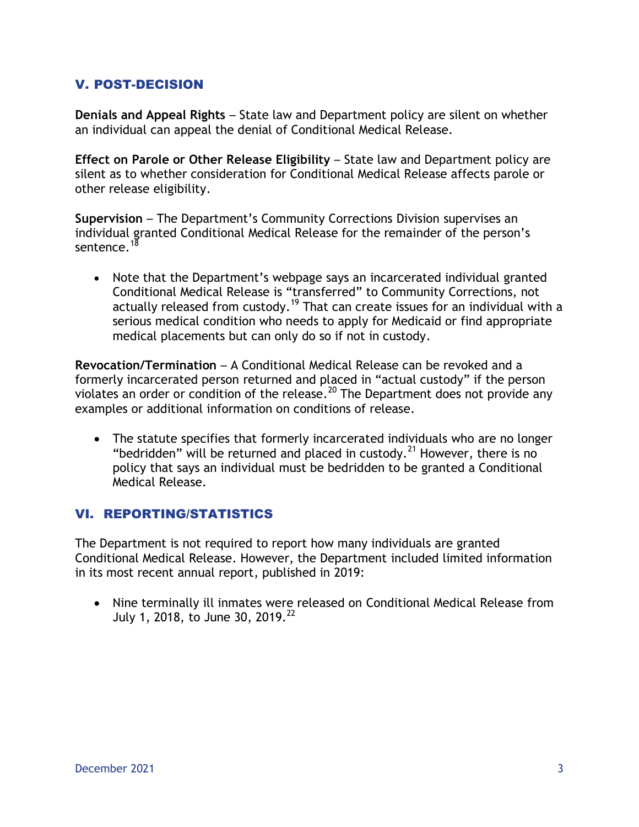### V. POST-DECISION

**Denials and Appeal Rights** – State law and Department policy are silent on whether an individual can appeal the denial of Conditional Medical Release.

**Effect on Parole or Other Release Eligibility – State law and Department policy are** silent as to whether consideration for Conditional Medical Release affects parole or other release eligibility.

**Supervision** – The Department's Community Corrections Division supervises an individual granted Conditional Medical Release for the remainder of the person's sentence.<sup>18</sup>

 Note that the Department's webpage says an incarcerated individual granted Conditional Medical Release is "transferred" to Community Corrections, not actually released from custody.<sup>19</sup> That can create issues for an individual with a serious medical condition who needs to apply for Medicaid or find appropriate medical placements but can only do so if not in custody.

**Revocation/Termination** – A Conditional Medical Release can be revoked and a formerly incarcerated person returned and placed in "actual custody" if the person violates an order or condition of the release.<sup>20</sup> The Department does not provide any examples or additional information on conditions of release.

 The statute specifies that formerly incarcerated individuals who are no longer "bedridden" will be returned and placed in custody.<sup>21</sup> However, there is no policy that says an individual must be bedridden to be granted a Conditional Medical Release.

#### VI. REPORTING/STATISTICS

The Department is not required to report how many individuals are granted Conditional Medical Release. However, the Department included limited information in its most recent annual report, published in 2019:

 Nine terminally ill inmates were released on Conditional Medical Release from July 1, 2018, to June 30, 2019.<sup>22</sup>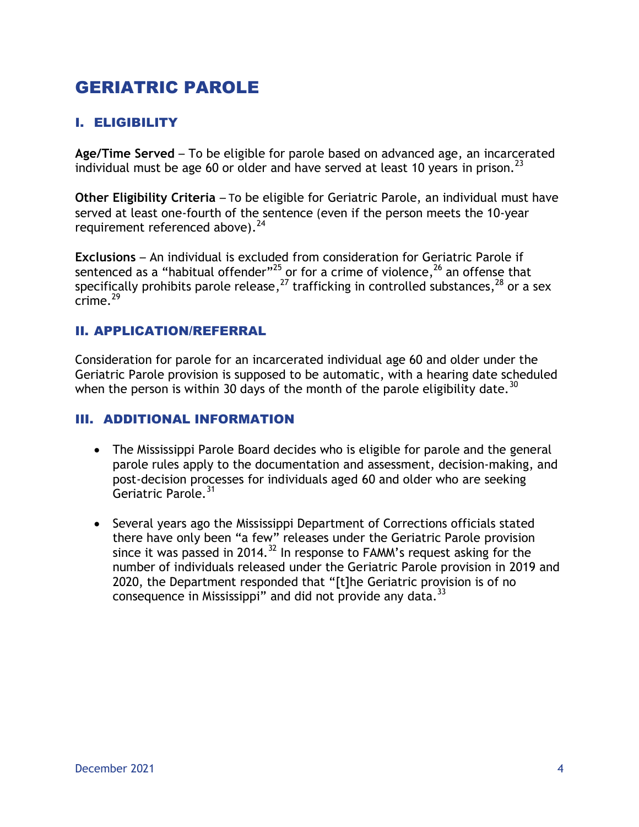# GERIATRIC PAROLE

## I. ELIGIBILITY

**Age/Time Served** – To be eligible for parole based on advanced age, an incarcerated individual must be age 60 or older and have served at least 10 years in prison.<sup>23</sup>

**Other Eligibility Criteria** – To be eligible for Geriatric Parole, an individual must have served at least one-fourth of the sentence (even if the person meets the 10-year requirement referenced above).  $24$ 

**Exclusions** – An individual is excluded from consideration for Geriatric Parole if sentenced as a "habitual offender" $^{25}$  or for a crime of violence, $^{26}$  an offense that specifically prohibits parole release, $^{27}$  trafficking in controlled substances, $^{28}$  or a sex  $\frac{1}{2}$ crime.<sup>29</sup>

#### II. APPLICATION/REFERRAL

Consideration for parole for an incarcerated individual age 60 and older under the Geriatric Parole provision is supposed to be automatic, with a hearing date scheduled when the person is within 30 days of the month of the parole eligibility date.<sup>30</sup>

#### III. ADDITIONAL INFORMATION

- The Mississippi Parole Board decides who is eligible for parole and the general parole rules apply to the documentation and assessment, decision-making, and post-decision processes for individuals aged 60 and older who are seeking Geriatric Parole.<sup>31</sup>
- Several years ago the Mississippi Department of Corrections officials stated there have only been "a few" releases under the Geriatric Parole provision since it was passed in 2014.<sup>32</sup> In response to FAMM's request asking for the number of individuals released under the Geriatric Parole provision in 2019 and 2020, the Department responded that "[t]he Geriatric provision is of no consequence in Mississippi" and did not provide any data.<sup>33</sup>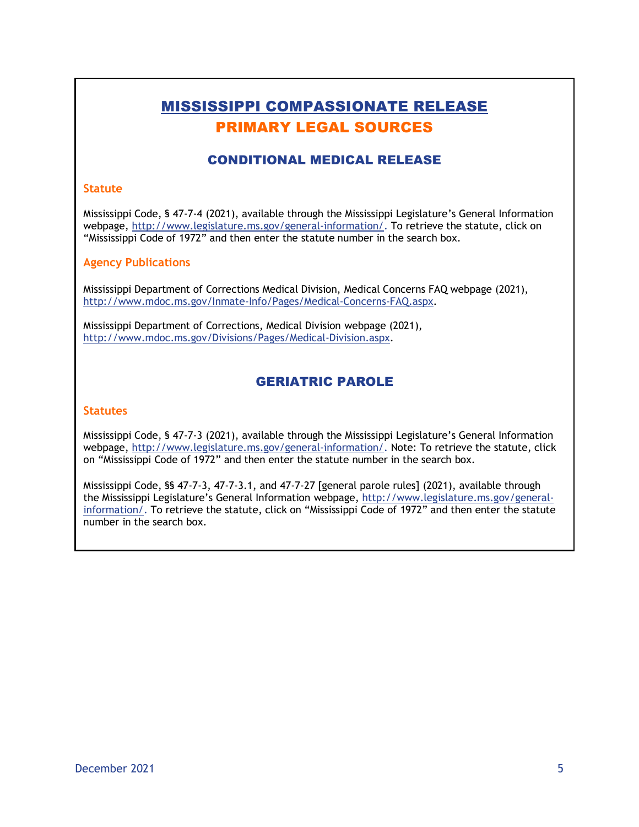## MISSISSIPPI COMPASSIONATE RELEASE PRIMARY LEGAL SOURCES

### CONDITIONAL MEDICAL RELEASE

#### **Statute**

Mississippi Code, § 47-7-4 (2021), available through the Mississippi Legislature's General Information webpage, [http://www.legislature.ms.gov/general-information/.](http://www.legislature.ms.gov/general-information/) To retrieve the statute, click on "Mississippi Code of 1972" and then enter the statute number in the search box.

#### **Agency Publications**

Mississippi Department of Corrections Medical Division, Medical Concerns FAQ webpage (2021), [http://www.mdoc.ms.gov/Inmate-Info/Pages/Medical-Concerns-FAQ.aspx.](http://www.mdoc.ms.gov/Inmate-Info/Pages/Medical-Concerns-FAQ.aspx)

Mississippi Department of Corrections, Medical Division webpage (2021), [http://www.mdoc.ms.gov/Divisions/Pages/Medical-Division.aspx.](http://www.mdoc.ms.gov/Divisions/Pages/Medical-Division.aspx)

#### GERIATRIC PAROLE

#### **Statutes**

Mississippi Code, § 47-7-3 (2021), available through the Mississippi Legislature's General Information webpage, [http://www.legislature.ms.gov/general-information/.](http://www.legislature.ms.gov/general-information/) Note: To retrieve the statute, click on "Mississippi Code of 1972" and then enter the statute number in the search box.

Mississippi Code, §§ 47-7-3, 47-7-3.1, and 47-7-27 [general parole rules] (2021), available through the Mississippi Legislature's General Information webpage, [http://www.legislature.ms.gov/general](http://www.legislature.ms.gov/general-information/)[information/.](http://www.legislature.ms.gov/general-information/) To retrieve the statute, click on "Mississippi Code of 1972" and then enter the statute number in the search box.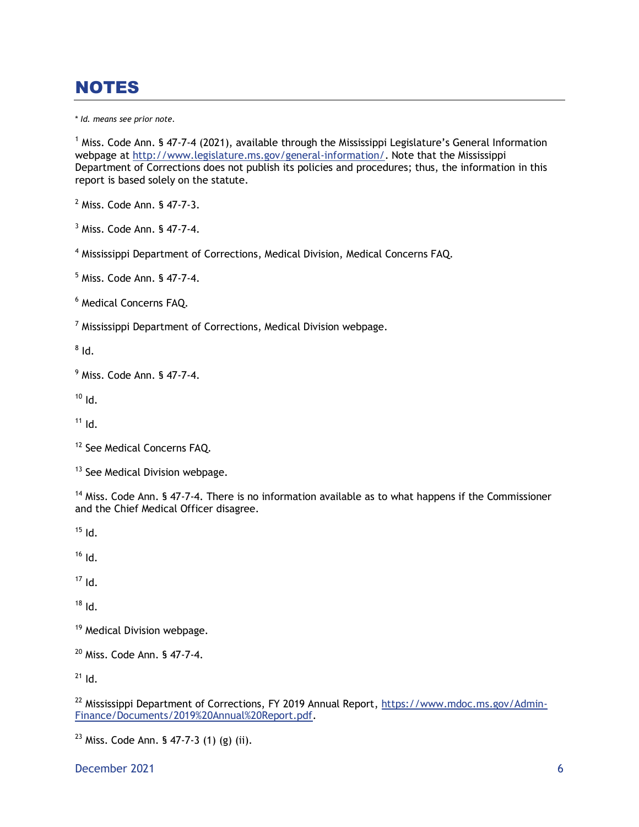# NOTES

\* *Id. means see prior note.*

 $1$  Miss. Code Ann. § 47-7-4 (2021), available through the Mississippi Legislature's General Information webpage at [http://www.legislature.ms.gov/general-information/.](http://www.legislature.ms.gov/general-information/) Note that the Mississippi Department of Corrections does not publish its policies and procedures; thus, the information in this report is based solely on the statute.

<sup>2</sup> Miss. Code Ann. § 47-7-3.

<sup>3</sup> Miss. Code Ann. § 47-7-4.

<sup>4</sup> Mississippi Department of Corrections, Medical Division, Medical Concerns FAQ.

<sup>5</sup> Miss. Code Ann. § 47-7-4.

<sup>6</sup> Medical Concerns FAQ.

 $<sup>7</sup>$  Mississippi Department of Corrections, Medical Division webpage.</sup>

 $^8$  Id.

<sup>9</sup> Miss. Code Ann. § 47-7-4.

 $10$  Id.

 $11$  Id.

<sup>12</sup> See Medical Concerns FAQ.

<sup>13</sup> See Medical Division webpage.

<sup>14</sup> Miss. Code Ann. § 47-7-4. There is no information available as to what happens if the Commissioner and the Chief Medical Officer disagree.

 $15$  Id.

 $16$  Id.

 $17$  Id.

 $18$  Id.

<sup>19</sup> Medical Division webpage.

<sup>20</sup> Miss. Code Ann. § 47-7-4.

 $21$  Id.

<sup>22</sup> Mississippi Department of Corrections, FY 2019 Annual Report, [https://www.mdoc.ms.gov/Admin-](https://www.mdoc.ms.gov/Admin-Finance/Documents/2019%20Annual%20Report.pdf)[Finance/Documents/2019%20Annual%20Report.pdf.](https://www.mdoc.ms.gov/Admin-Finance/Documents/2019%20Annual%20Report.pdf)

 $23$  Miss. Code Ann. § 47-7-3 (1) (g) (ii).